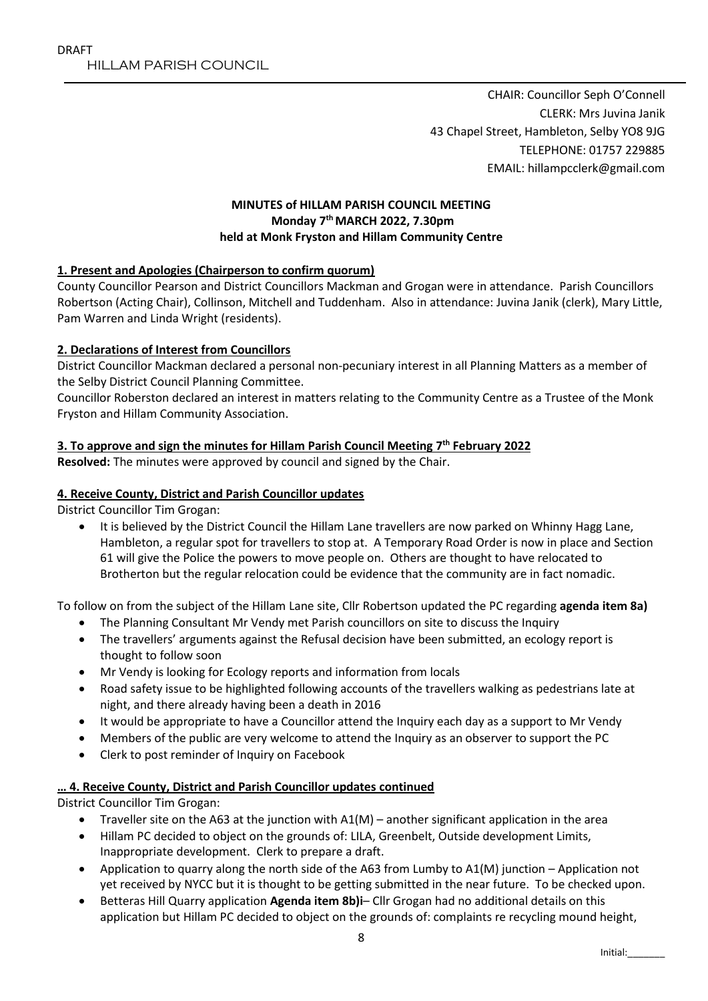CHAIR: Councillor Seph O'Connell CLERK: Mrs Juvina Janik 43 Chapel Street, Hambleton, Selby YO8 9JG TELEPHONE: 01757 229885 EMAIL: hillampcclerk@gmail.com

### **MINUTES of HILLAM PARISH COUNCIL MEETING Monday 7 th MARCH 2022, 7.30pm held at Monk Fryston and Hillam Community Centre**

### **1. Present and Apologies (Chairperson to confirm quorum)**

County Councillor Pearson and District Councillors Mackman and Grogan were in attendance. Parish Councillors Robertson (Acting Chair), Collinson, Mitchell and Tuddenham. Also in attendance: Juvina Janik (clerk), Mary Little, Pam Warren and Linda Wright (residents).

### **2. Declarations of Interest from Councillors**

District Councillor Mackman declared a personal non-pecuniary interest in all Planning Matters as a member of the Selby District Council Planning Committee.

Councillor Roberston declared an interest in matters relating to the Community Centre as a Trustee of the Monk Fryston and Hillam Community Association.

## **3. To approve and sign the minutes for Hillam Parish Council Meeting 7 th February 2022**

**Resolved:** The minutes were approved by council and signed by the Chair.

#### **4. Receive County, District and Parish Councillor updates**

District Councillor Tim Grogan:

 It is believed by the District Council the Hillam Lane travellers are now parked on Whinny Hagg Lane, Hambleton, a regular spot for travellers to stop at. A Temporary Road Order is now in place and Section 61 will give the Police the powers to move people on. Others are thought to have relocated to Brotherton but the regular relocation could be evidence that the community are in fact nomadic.

To follow on from the subject of the Hillam Lane site, Cllr Robertson updated the PC regarding **agenda item 8a)**

- The Planning Consultant Mr Vendy met Parish councillors on site to discuss the Inquiry
- The travellers' arguments against the Refusal decision have been submitted, an ecology report is thought to follow soon
- Mr Vendy is looking for Ecology reports and information from locals
- Road safety issue to be highlighted following accounts of the travellers walking as pedestrians late at night, and there already having been a death in 2016
- It would be appropriate to have a Councillor attend the Inquiry each day as a support to Mr Vendy
- Members of the public are very welcome to attend the Inquiry as an observer to support the PC
- Clerk to post reminder of Inquiry on Facebook

### **… 4. Receive County, District and Parish Councillor updates continued**

District Councillor Tim Grogan:

- Traveller site on the A63 at the junction with  $AI(M)$  another significant application in the area
- Hillam PC decided to object on the grounds of: LILA, Greenbelt, Outside development Limits, Inappropriate development. Clerk to prepare a draft.
- Application to quarry along the north side of the A63 from Lumby to A1(M) junction Application not yet received by NYCC but it is thought to be getting submitted in the near future. To be checked upon.
- Betteras Hill Quarry application **Agenda item 8b)i** Cllr Grogan had no additional details on this application but Hillam PC decided to object on the grounds of: complaints re recycling mound height,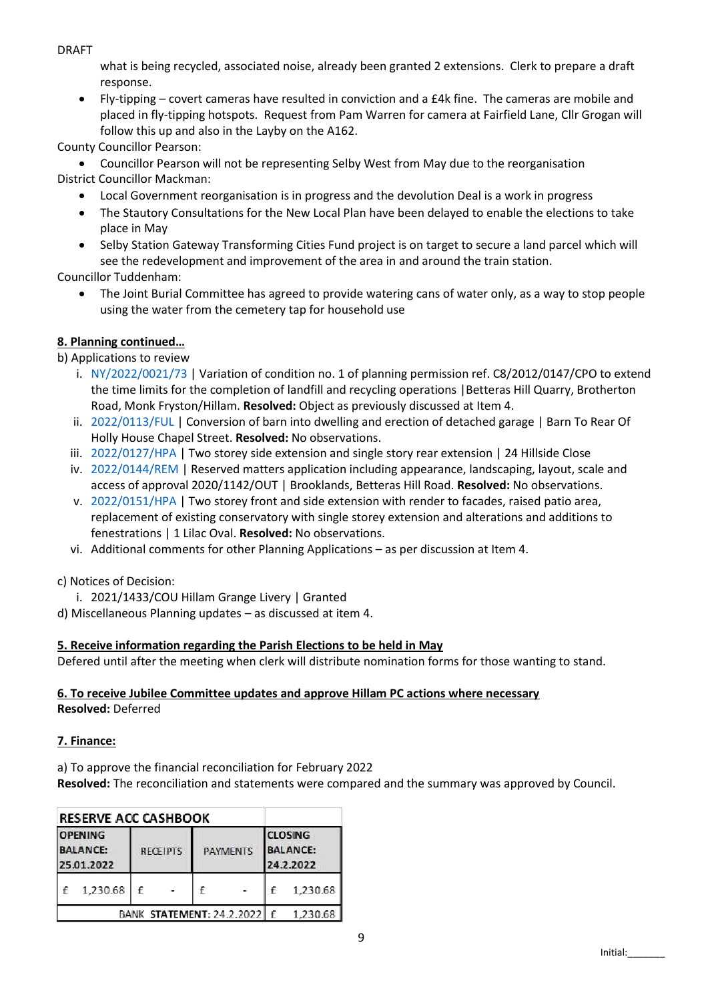DRAFT

what is being recycled, associated noise, already been granted 2 extensions. Clerk to prepare a draft response.

 Fly-tipping – covert cameras have resulted in conviction and a £4k fine. The cameras are mobile and placed in fly-tipping hotspots. Request from Pam Warren for camera at Fairfield Lane, Cllr Grogan will follow this up and also in the Layby on the A162.

County Councillor Pearson:

 Councillor Pearson will not be representing Selby West from May due to the reorganisation District Councillor Mackman:

- Local Government reorganisation is in progress and the devolution Deal is a work in progress
- The Stautory Consultations for the New Local Plan have been delayed to enable the elections to take place in May
- Selby Station Gateway Transforming Cities Fund project is on target to secure a land parcel which will see the redevelopment and improvement of the area in and around the train station.

Councillor Tuddenham:

 The Joint Burial Committee has agreed to provide watering cans of water only, as a way to stop people using the water from the cemetery tap for household use

# **8. Planning continued…**

b) Applications to review

- i. [NY/2022/0021/73](https://onlineplanningregister.northyorks.gov.uk/register/PlanAppDisp.aspx?recno=11488) | Variation of condition no. 1 of planning permission ref. C8/2012/0147/CPO to extend the time limits for the completion of landfill and recycling operations |Betteras Hill Quarry, Brotherton Road, Monk Fryston/Hillam. **Resolved:** Object as previously discussed at Item 4.
- ii. [2022/0113/FUL](https://public.selby.gov.uk/online-applications/applicationDetails.do?keyVal=R6MAE6NX0C000&activeTab=summary) | Conversion of barn into dwelling and erection of detached garage | Barn To Rear Of Holly House Chapel Street. **Resolved:** No observations.
- iii. [2022/0127/HPA](https://public.selby.gov.uk/online-applications/applicationDetails.do?keyVal=R6Q7PONX0C000&activeTab=summary) | Two storey side extension and single story rear extension | 24 Hillside Close
- iv. [2022/0144/REM](https://public.selby.gov.uk/online-applications/applicationDetails.do?keyVal=R6ZAW1NX08600&activeTab=summary) | Reserved matters application including appearance, landscaping, layout, scale and access of approval 2020/1142/OUT | Brooklands, Betteras Hill Road. **Resolved:** No observations.
- v. [2022/0151/HPA](https://public.selby.gov.uk/online-applications/applicationDetails.do?keyVal=R6ZREANX08600&activeTab=summary) | Two storey front and side extension with render to facades, raised patio area, replacement of existing conservatory with single storey extension and alterations and additions to fenestrations | 1 Lilac Oval. **Resolved:** No observations.
- vi. Additional comments for other Planning Applications as per discussion at Item 4.
- c) Notices of Decision:
	- i. 2021/1433/COU Hillam Grange Livery | Granted
- d) Miscellaneous Planning updates as discussed at item 4.

### **5. Receive information regarding the Parish Elections to be held in May**

Defered until after the meeting when clerk will distribute nomination forms for those wanting to stand.

#### **6. To receive Jubilee Committee updates and approve Hillam PC actions where necessary Resolved:** Deferred

### **7. Finance:**

a) To approve the financial reconciliation for February 2022 **Resolved:** The reconciliation and statements were compared and the summary was approved by Council.

| <b>RESERVE ACC CASHBOOK</b>                     |          |                 |  |                 |  |                                                |          |  |
|-------------------------------------------------|----------|-----------------|--|-----------------|--|------------------------------------------------|----------|--|
| <b>OPENING</b><br><b>BALANCE:</b><br>25.01.2022 |          | <b>RECEIPTS</b> |  | <b>PAYMENTS</b> |  | <b>CLOSING</b><br><b>BALANCE:</b><br>24.2.2022 |          |  |
|                                                 | 1,230.68 | f               |  | f               |  | f                                              | 1,230.68 |  |
| BANK STATEMENT: 24.2.2022                       |          |                 |  |                 |  | $\mathbf{f}$                                   | 1,230.68 |  |